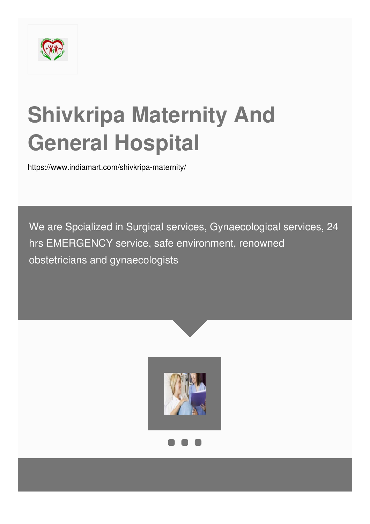

# **Shivkripa Maternity And General Hospital**

<https://www.indiamart.com/shivkripa-maternity/>

We are Spcialized in Surgical services, Gynaecological services, 24 hrs EMERGENCY service, safe environment, renowned obstetricians and gynaecologists

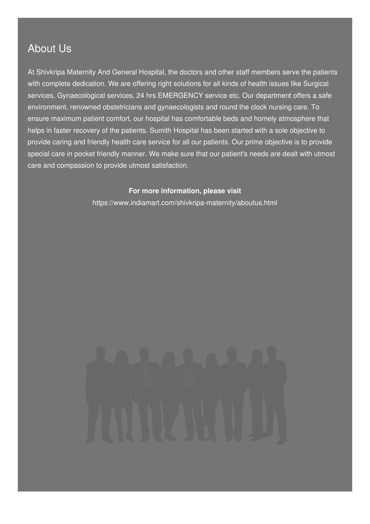### About Us

At Shivkripa Maternity And General Hospital, the doctors and other staff members serve the patients with complete dedication. We are offering right solutions for all kinds of health issues like Surgical services, Gynaecological services, 24 hrs EMERGENCY service etc. Our department offers a safe environment, renowned obstetricians and gynaecologists and round the clock nursing care. To ensure maximum patient comfort, our hospital has comfortable beds and homely atmosphere that helps in faster recovery of the patients. Sumith Hospital has been started with a sole objective to provide caring and friendly health care service for all our patients. Our prime objective is to provide special care in pocket friendly manner. We make sure that our patient's needs are dealt with utmost care and compassion to provide utmost satisfaction.

### **For more information, please visit**

<https://www.indiamart.com/shivkripa-maternity/aboutus.html>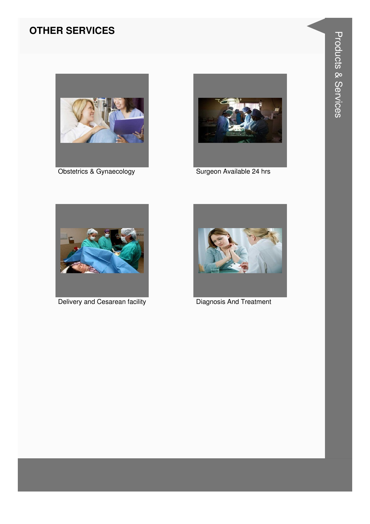### **OTHER SERVICES**



Obstetrics & Gynaecology



Surgeon Available 24 hrs



Delivery and Cesarean facility



**Diagnosis And Treatment**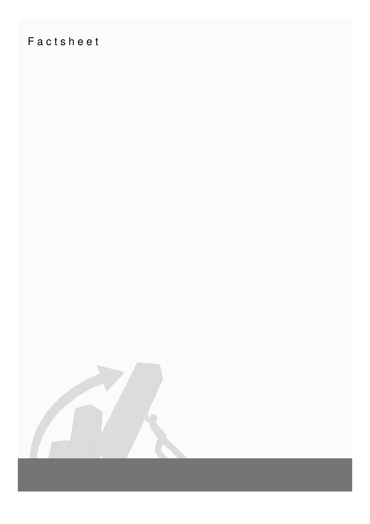## Factsheet